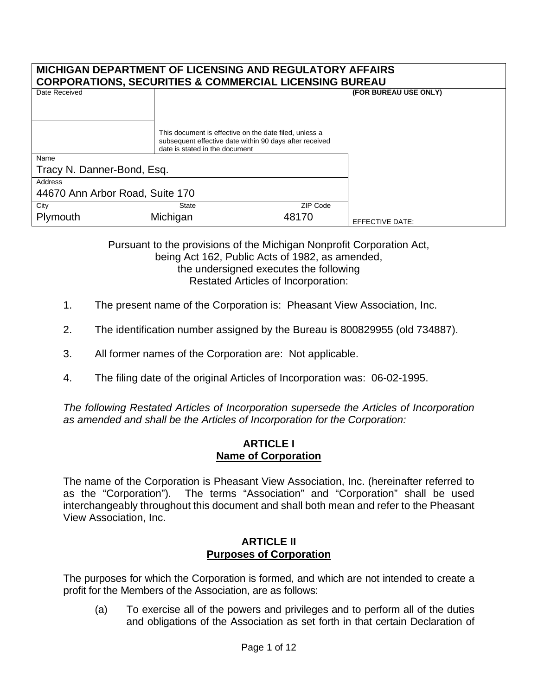#### **MICHIGAN DEPARTMENT OF LICENSING AND REGULATORY AFFAIRS CORPORATIONS, SECURITIES & COMMERCIAL LICENSING BUREAU**

| <u>UUNFUNATIUNG, SEUUNITIEG &amp; UUMMENUAL LIUENGING DUNEAU</u> |                                                                                                                                                     |          |                       |
|------------------------------------------------------------------|-----------------------------------------------------------------------------------------------------------------------------------------------------|----------|-----------------------|
| Date Received                                                    |                                                                                                                                                     |          | (FOR BUREAU USE ONLY) |
|                                                                  | This document is effective on the date filed, unless a<br>subsequent effective date within 90 days after received<br>date is stated in the document |          |                       |
| Name                                                             |                                                                                                                                                     |          |                       |
| Tracy N. Danner-Bond, Esq.                                       |                                                                                                                                                     |          |                       |
| Address                                                          |                                                                                                                                                     |          |                       |
| 44670 Ann Arbor Road, Suite 170                                  |                                                                                                                                                     |          |                       |
| City                                                             | <b>State</b>                                                                                                                                        | ZIP Code |                       |
| Plymouth                                                         | Michigan                                                                                                                                            | 48170    | EFFECTIVE DATE:       |

Pursuant to the provisions of the Michigan Nonprofit Corporation Act, being Act 162, Public Acts of 1982, as amended, the undersigned executes the following Restated Articles of Incorporation:

- 1. The present name of the Corporation is: Pheasant View Association, Inc.
- 2. The identification number assigned by the Bureau is 800829955 (old 734887).
- 3. All former names of the Corporation are: Not applicable.
- 4. The filing date of the original Articles of Incorporation was: 06-02-1995.

*The following Restated Articles of Incorporation supersede the Articles of Incorporation as amended and shall be the Articles of Incorporation for the Corporation:*

#### **ARTICLE I Name of Corporation**

The name of the Corporation is Pheasant View Association, Inc. (hereinafter referred to as the "Corporation"). The terms "Association" and "Corporation" shall be used interchangeably throughout this document and shall both mean and refer to the Pheasant View Association, Inc.

## **ARTICLE II Purposes of Corporation**

The purposes for which the Corporation is formed, and which are not intended to create a profit for the Members of the Association, are as follows:

(a) To exercise all of the powers and privileges and to perform all of the duties and obligations of the Association as set forth in that certain Declaration of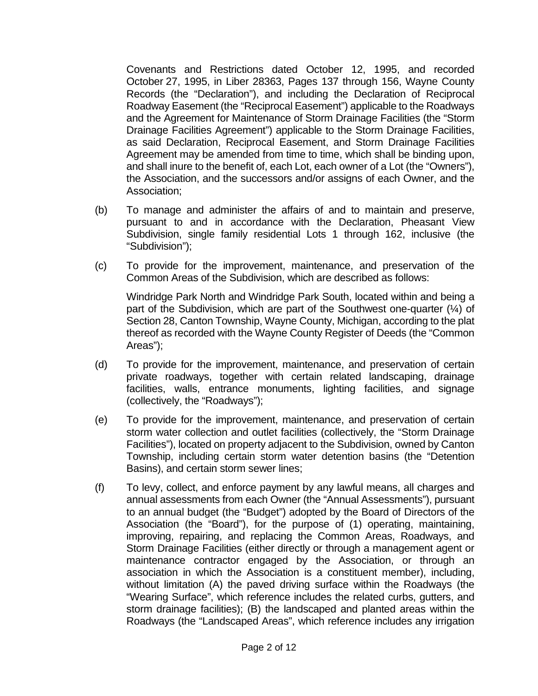Covenants and Restrictions dated October 12, 1995, and recorded October 27, 1995, in Liber 28363, Pages 137 through 156, Wayne County Records (the "Declaration"), and including the Declaration of Reciprocal Roadway Easement (the "Reciprocal Easement") applicable to the Roadways and the Agreement for Maintenance of Storm Drainage Facilities (the "Storm Drainage Facilities Agreement") applicable to the Storm Drainage Facilities, as said Declaration, Reciprocal Easement, and Storm Drainage Facilities Agreement may be amended from time to time, which shall be binding upon, and shall inure to the benefit of, each Lot, each owner of a Lot (the "Owners"), the Association, and the successors and/or assigns of each Owner, and the Association;

- (b) To manage and administer the affairs of and to maintain and preserve, pursuant to and in accordance with the Declaration, Pheasant View Subdivision, single family residential Lots 1 through 162, inclusive (the "Subdivision");
- (c) To provide for the improvement, maintenance, and preservation of the Common Areas of the Subdivision, which are described as follows:

Windridge Park North and Windridge Park South, located within and being a part of the Subdivision, which are part of the Southwest one-quarter (¼) of Section 28, Canton Township, Wayne County, Michigan, according to the plat thereof as recorded with the Wayne County Register of Deeds (the "Common Areas");

- (d) To provide for the improvement, maintenance, and preservation of certain private roadways, together with certain related landscaping, drainage facilities, walls, entrance monuments, lighting facilities, and signage (collectively, the "Roadways");
- (e) To provide for the improvement, maintenance, and preservation of certain storm water collection and outlet facilities (collectively, the "Storm Drainage Facilities"), located on property adjacent to the Subdivision, owned by Canton Township, including certain storm water detention basins (the "Detention Basins), and certain storm sewer lines;
- (f) To levy, collect, and enforce payment by any lawful means, all charges and annual assessments from each Owner (the "Annual Assessments"), pursuant to an annual budget (the "Budget") adopted by the Board of Directors of the Association (the "Board"), for the purpose of (1) operating, maintaining, improving, repairing, and replacing the Common Areas, Roadways, and Storm Drainage Facilities (either directly or through a management agent or maintenance contractor engaged by the Association, or through an association in which the Association is a constituent member), including, without limitation (A) the paved driving surface within the Roadways (the "Wearing Surface", which reference includes the related curbs, gutters, and storm drainage facilities); (B) the landscaped and planted areas within the Roadways (the "Landscaped Areas", which reference includes any irrigation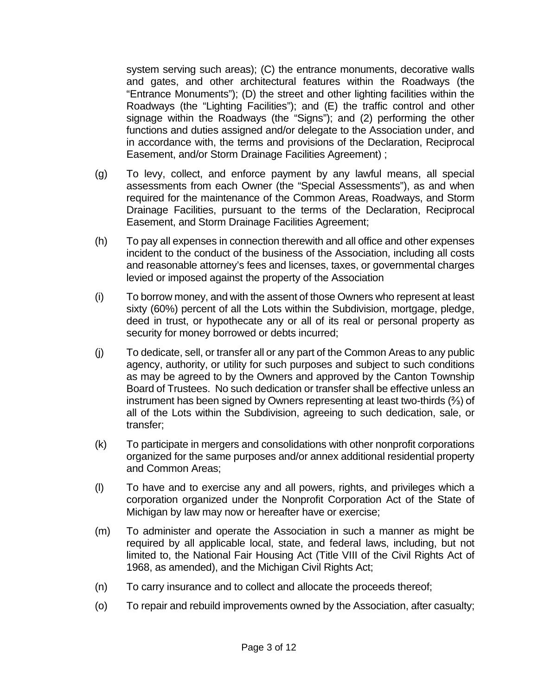system serving such areas); (C) the entrance monuments, decorative walls and gates, and other architectural features within the Roadways (the "Entrance Monuments"); (D) the street and other lighting facilities within the Roadways (the "Lighting Facilities"); and (E) the traffic control and other signage within the Roadways (the "Signs"); and (2) performing the other functions and duties assigned and/or delegate to the Association under, and in accordance with, the terms and provisions of the Declaration, Reciprocal Easement, and/or Storm Drainage Facilities Agreement) ;

- (g) To levy, collect, and enforce payment by any lawful means, all special assessments from each Owner (the "Special Assessments"), as and when required for the maintenance of the Common Areas, Roadways, and Storm Drainage Facilities, pursuant to the terms of the Declaration, Reciprocal Easement, and Storm Drainage Facilities Agreement;
- (h) To pay all expenses in connection therewith and all office and other expenses incident to the conduct of the business of the Association, including all costs and reasonable attorney's fees and licenses, taxes, or governmental charges levied or imposed against the property of the Association
- (i) To borrow money, and with the assent of those Owners who represent at least sixty (60%) percent of all the Lots within the Subdivision, mortgage, pledge, deed in trust, or hypothecate any or all of its real or personal property as security for money borrowed or debts incurred;
- (j) To dedicate, sell, or transfer all or any part of the Common Areas to any public agency, authority, or utility for such purposes and subject to such conditions as may be agreed to by the Owners and approved by the Canton Township Board of Trustees. No such dedication or transfer shall be effective unless an instrument has been signed by Owners representing at least two-thirds (⅔) of all of the Lots within the Subdivision, agreeing to such dedication, sale, or transfer;
- (k) To participate in mergers and consolidations with other nonprofit corporations organized for the same purposes and/or annex additional residential property and Common Areas;
- (l) To have and to exercise any and all powers, rights, and privileges which a corporation organized under the Nonprofit Corporation Act of the State of Michigan by law may now or hereafter have or exercise;
- (m) To administer and operate the Association in such a manner as might be required by all applicable local, state, and federal laws, including, but not limited to, the National Fair Housing Act (Title VIII of the Civil Rights Act of 1968, as amended), and the Michigan Civil Rights Act;
- (n) To carry insurance and to collect and allocate the proceeds thereof;
- (o) To repair and rebuild improvements owned by the Association, after casualty;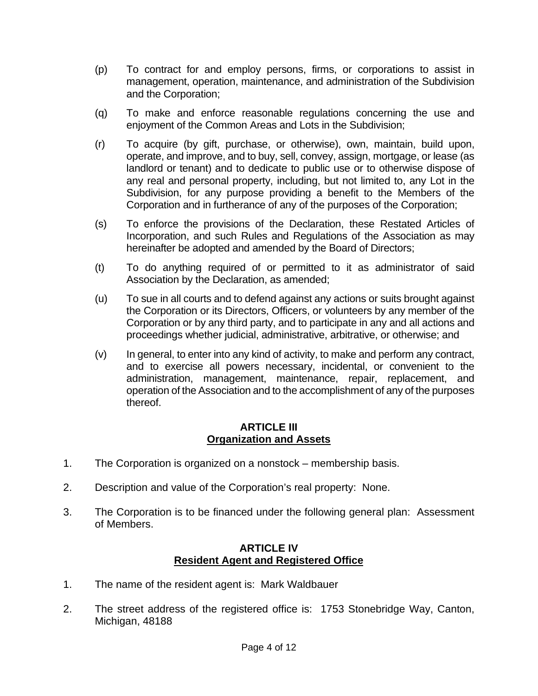- (p) To contract for and employ persons, firms, or corporations to assist in management, operation, maintenance, and administration of the Subdivision and the Corporation;
- (q) To make and enforce reasonable regulations concerning the use and enjoyment of the Common Areas and Lots in the Subdivision;
- (r) To acquire (by gift, purchase, or otherwise), own, maintain, build upon, operate, and improve, and to buy, sell, convey, assign, mortgage, or lease (as landlord or tenant) and to dedicate to public use or to otherwise dispose of any real and personal property, including, but not limited to, any Lot in the Subdivision, for any purpose providing a benefit to the Members of the Corporation and in furtherance of any of the purposes of the Corporation;
- (s) To enforce the provisions of the Declaration, these Restated Articles of Incorporation, and such Rules and Regulations of the Association as may hereinafter be adopted and amended by the Board of Directors;
- (t) To do anything required of or permitted to it as administrator of said Association by the Declaration, as amended;
- (u) To sue in all courts and to defend against any actions or suits brought against the Corporation or its Directors, Officers, or volunteers by any member of the Corporation or by any third party, and to participate in any and all actions and proceedings whether judicial, administrative, arbitrative, or otherwise; and
- (v) In general, to enter into any kind of activity, to make and perform any contract, and to exercise all powers necessary, incidental, or convenient to the administration, management, maintenance, repair, replacement, and operation of the Association and to the accomplishment of any of the purposes thereof.

# **ARTICLE III Organization and Assets**

- 1. The Corporation is organized on a nonstock membership basis.
- 2. Description and value of the Corporation's real property: None.
- 3. The Corporation is to be financed under the following general plan: Assessment of Members.

# **ARTICLE IV Resident Agent and Registered Office**

- 1. The name of the resident agent is: Mark Waldbauer
- 2. The street address of the registered office is: 1753 Stonebridge Way, Canton, Michigan, 48188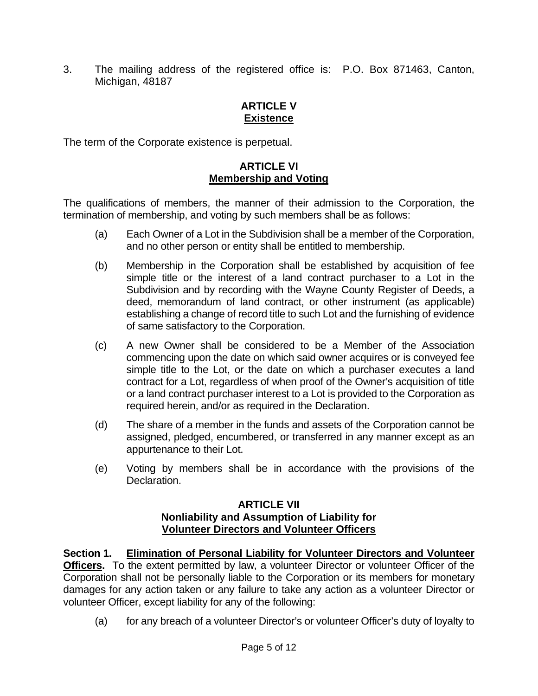3. The mailing address of the registered office is: P.O. Box 871463, Canton, Michigan, 48187

# **ARTICLE V Existence**

The term of the Corporate existence is perpetual.

# **ARTICLE VI Membership and Voting**

The qualifications of members, the manner of their admission to the Corporation, the termination of membership, and voting by such members shall be as follows:

- (a) Each Owner of a Lot in the Subdivision shall be a member of the Corporation, and no other person or entity shall be entitled to membership.
- (b) Membership in the Corporation shall be established by acquisition of fee simple title or the interest of a land contract purchaser to a Lot in the Subdivision and by recording with the Wayne County Register of Deeds, a deed, memorandum of land contract, or other instrument (as applicable) establishing a change of record title to such Lot and the furnishing of evidence of same satisfactory to the Corporation.
- (c) A new Owner shall be considered to be a Member of the Association commencing upon the date on which said owner acquires or is conveyed fee simple title to the Lot, or the date on which a purchaser executes a land contract for a Lot, regardless of when proof of the Owner's acquisition of title or a land contract purchaser interest to a Lot is provided to the Corporation as required herein, and/or as required in the Declaration.
- (d) The share of a member in the funds and assets of the Corporation cannot be assigned, pledged, encumbered, or transferred in any manner except as an appurtenance to their Lot.
- (e) Voting by members shall be in accordance with the provisions of the Declaration.

## **ARTICLE VII Nonliability and Assumption of Liability for Volunteer Directors and Volunteer Officers**

**Section 1. Elimination of Personal Liability for Volunteer Directors and Volunteer Officers.** To the extent permitted by law, a volunteer Director or volunteer Officer of the Corporation shall not be personally liable to the Corporation or its members for monetary damages for any action taken or any failure to take any action as a volunteer Director or volunteer Officer, except liability for any of the following:

(a) for any breach of a volunteer Director's or volunteer Officer's duty of loyalty to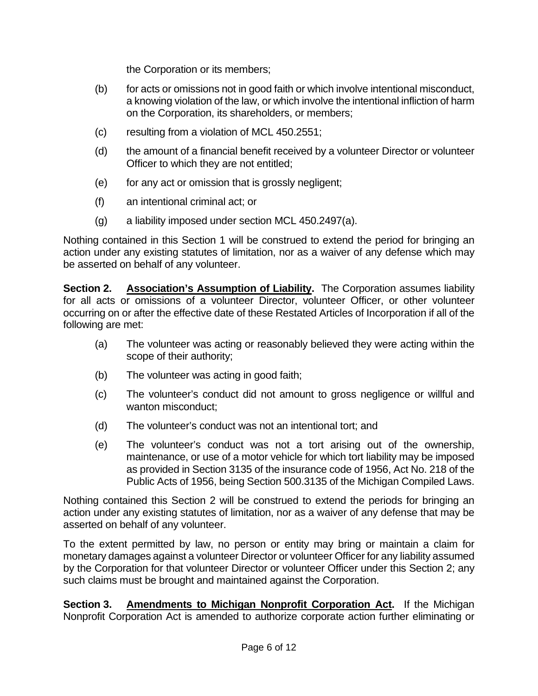the Corporation or its members;

- (b) for acts or omissions not in good faith or which involve intentional misconduct, a knowing violation of the law, or which involve the intentional infliction of harm on the Corporation, its shareholders, or members;
- (c) resulting from a violation of MCL 450.2551;
- (d) the amount of a financial benefit received by a volunteer Director or volunteer Officer to which they are not entitled;
- (e) for any act or omission that is grossly negligent;
- (f) an intentional criminal act; or
- (g) a liability imposed under section MCL 450.2497(a).

Nothing contained in this Section 1 will be construed to extend the period for bringing an action under any existing statutes of limitation, nor as a waiver of any defense which may be asserted on behalf of any volunteer.

**Section 2. Association's Assumption of Liability.** The Corporation assumes liability for all acts or omissions of a volunteer Director, volunteer Officer, or other volunteer occurring on or after the effective date of these Restated Articles of Incorporation if all of the following are met:

- (a) The volunteer was acting or reasonably believed they were acting within the scope of their authority;
- (b) The volunteer was acting in good faith;
- (c) The volunteer's conduct did not amount to gross negligence or willful and wanton misconduct;
- (d) The volunteer's conduct was not an intentional tort; and
- (e) The volunteer's conduct was not a tort arising out of the ownership, maintenance, or use of a motor vehicle for which tort liability may be imposed as provided in Section 3135 of the insurance code of 1956, Act No. 218 of the Public Acts of 1956, being Section 500.3135 of the Michigan Compiled Laws.

Nothing contained this Section 2 will be construed to extend the periods for bringing an action under any existing statutes of limitation, nor as a waiver of any defense that may be asserted on behalf of any volunteer.

To the extent permitted by law, no person or entity may bring or maintain a claim for monetary damages against a volunteer Director or volunteer Officer for any liability assumed by the Corporation for that volunteer Director or volunteer Officer under this Section 2; any such claims must be brought and maintained against the Corporation.

**Section 3. Amendments to Michigan Nonprofit Corporation Act.** If the Michigan Nonprofit Corporation Act is amended to authorize corporate action further eliminating or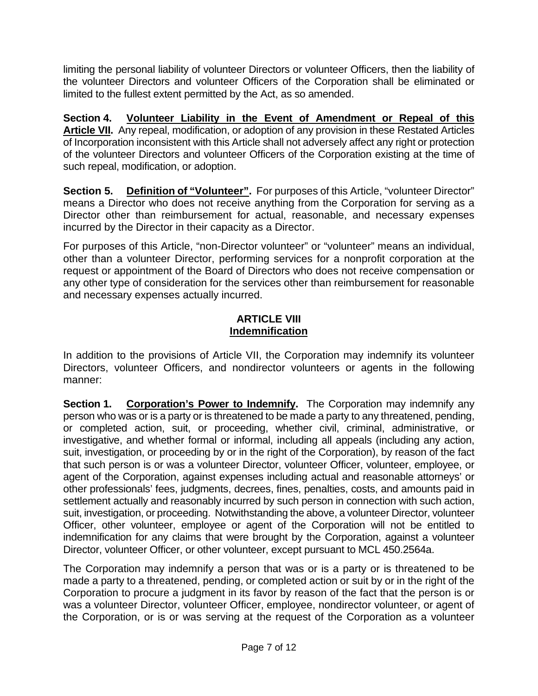limiting the personal liability of volunteer Directors or volunteer Officers, then the liability of the volunteer Directors and volunteer Officers of the Corporation shall be eliminated or limited to the fullest extent permitted by the Act, as so amended.

**Section 4. Volunteer Liability in the Event of Amendment or Repeal of this Article VII.** Any repeal, modification, or adoption of any provision in these Restated Articles of Incorporation inconsistent with this Article shall not adversely affect any right or protection of the volunteer Directors and volunteer Officers of the Corporation existing at the time of such repeal, modification, or adoption.

**Section 5. Definition of "Volunteer".** For purposes of this Article, "volunteer Director" means a Director who does not receive anything from the Corporation for serving as a Director other than reimbursement for actual, reasonable, and necessary expenses incurred by the Director in their capacity as a Director.

For purposes of this Article, "non-Director volunteer" or "volunteer" means an individual, other than a volunteer Director, performing services for a nonprofit corporation at the request or appointment of the Board of Directors who does not receive compensation or any other type of consideration for the services other than reimbursement for reasonable and necessary expenses actually incurred.

## **ARTICLE VIII Indemnification**

In addition to the provisions of Article VII, the Corporation may indemnify its volunteer Directors, volunteer Officers, and nondirector volunteers or agents in the following manner:

**Section 1.** Corporation's Power to Indemnify. The Corporation may indemnify any person who was or is a party or is threatened to be made a party to any threatened, pending, or completed action, suit, or proceeding, whether civil, criminal, administrative, or investigative, and whether formal or informal, including all appeals (including any action, suit, investigation, or proceeding by or in the right of the Corporation), by reason of the fact that such person is or was a volunteer Director, volunteer Officer, volunteer, employee, or agent of the Corporation, against expenses including actual and reasonable attorneys' or other professionals' fees, judgments, decrees, fines, penalties, costs, and amounts paid in settlement actually and reasonably incurred by such person in connection with such action, suit, investigation, or proceeding. Notwithstanding the above, a volunteer Director, volunteer Officer, other volunteer, employee or agent of the Corporation will not be entitled to indemnification for any claims that were brought by the Corporation, against a volunteer Director, volunteer Officer, or other volunteer, except pursuant to MCL 450.2564a.

The Corporation may indemnify a person that was or is a party or is threatened to be made a party to a threatened, pending, or completed action or suit by or in the right of the Corporation to procure a judgment in its favor by reason of the fact that the person is or was a volunteer Director, volunteer Officer, employee, nondirector volunteer, or agent of the Corporation, or is or was serving at the request of the Corporation as a volunteer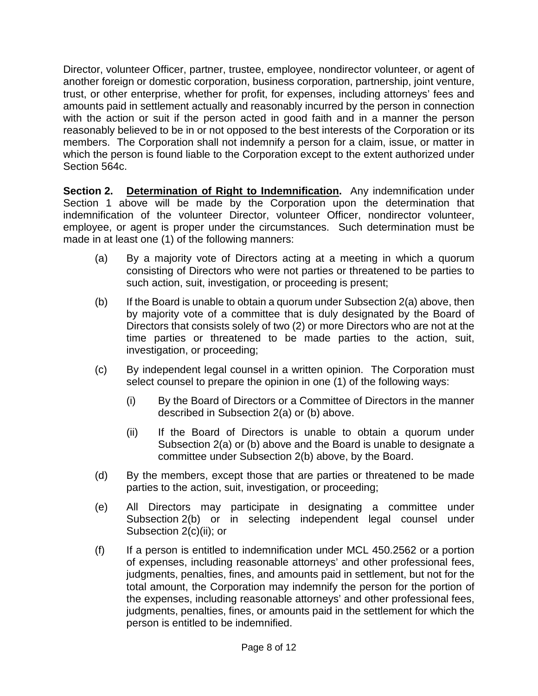Director, volunteer Officer, partner, trustee, employee, nondirector volunteer, or agent of another foreign or domestic corporation, business corporation, partnership, joint venture, trust, or other enterprise, whether for profit, for expenses, including attorneys' fees and amounts paid in settlement actually and reasonably incurred by the person in connection with the action or suit if the person acted in good faith and in a manner the person reasonably believed to be in or not opposed to the best interests of the Corporation or its members. The Corporation shall not indemnify a person for a claim, issue, or matter in which the person is found liable to the Corporation except to the extent authorized under Section 564c.

**Section 2. Determination of Right to Indemnification.** Any indemnification under Section 1 above will be made by the Corporation upon the determination that indemnification of the volunteer Director, volunteer Officer, nondirector volunteer, employee, or agent is proper under the circumstances. Such determination must be made in at least one (1) of the following manners:

- (a) By a majority vote of Directors acting at a meeting in which a quorum consisting of Directors who were not parties or threatened to be parties to such action, suit, investigation, or proceeding is present;
- (b) If the Board is unable to obtain a quorum under Subsection  $2(a)$  above, then by majority vote of a committee that is duly designated by the Board of Directors that consists solely of two (2) or more Directors who are not at the time parties or threatened to be made parties to the action, suit, investigation, or proceeding;
- (c) By independent legal counsel in a written opinion. The Corporation must select counsel to prepare the opinion in one (1) of the following ways:
	- (i) By the Board of Directors or a Committee of Directors in the manner described in Subsection 2(a) or (b) above.
	- (ii) If the Board of Directors is unable to obtain a quorum under Subsection 2(a) or (b) above and the Board is unable to designate a committee under Subsection 2(b) above, by the Board.
- (d) By the members, except those that are parties or threatened to be made parties to the action, suit, investigation, or proceeding;
- (e) All Directors may participate in designating a committee under Subsection 2(b) or in selecting independent legal counsel under Subsection 2(c)(ii); or
- $(f)$  If a person is entitled to indemnification under MCL 450.2562 or a portion of expenses, including reasonable attorneys' and other professional fees, judgments, penalties, fines, and amounts paid in settlement, but not for the total amount, the Corporation may indemnify the person for the portion of the expenses, including reasonable attorneys' and other professional fees, judgments, penalties, fines, or amounts paid in the settlement for which the person is entitled to be indemnified.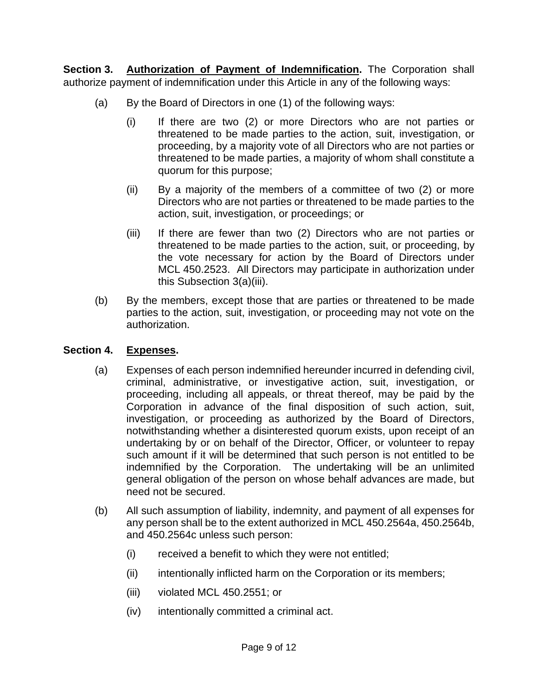**Section 3. Authorization of Payment of Indemnification.** The Corporation shall authorize payment of indemnification under this Article in any of the following ways:

- (a) By the Board of Directors in one (1) of the following ways:
	- (i) If there are two (2) or more Directors who are not parties or threatened to be made parties to the action, suit, investigation, or proceeding, by a majority vote of all Directors who are not parties or threatened to be made parties, a majority of whom shall constitute a quorum for this purpose;
	- (ii) By a majority of the members of a committee of two (2) or more Directors who are not parties or threatened to be made parties to the action, suit, investigation, or proceedings; or
	- (iii) If there are fewer than two (2) Directors who are not parties or threatened to be made parties to the action, suit, or proceeding, by the vote necessary for action by the Board of Directors under MCL 450.2523. All Directors may participate in authorization under this Subsection 3(a)(iii).
- (b) By the members, except those that are parties or threatened to be made parties to the action, suit, investigation, or proceeding may not vote on the authorization.

# **Section 4. Expenses.**

- (a) Expenses of each person indemnified hereunder incurred in defending civil, criminal, administrative, or investigative action, suit, investigation, or proceeding, including all appeals, or threat thereof, may be paid by the Corporation in advance of the final disposition of such action, suit, investigation, or proceeding as authorized by the Board of Directors, notwithstanding whether a disinterested quorum exists, upon receipt of an undertaking by or on behalf of the Director, Officer, or volunteer to repay such amount if it will be determined that such person is not entitled to be indemnified by the Corporation. The undertaking will be an unlimited general obligation of the person on whose behalf advances are made, but need not be secured.
- (b) All such assumption of liability, indemnity, and payment of all expenses for any person shall be to the extent authorized in MCL 450.2564a, 450.2564b, and 450.2564c unless such person:
	- (i) received a benefit to which they were not entitled;
	- (ii) intentionally inflicted harm on the Corporation or its members;
	- (iii) violated MCL 450.2551; or
	- (iv) intentionally committed a criminal act.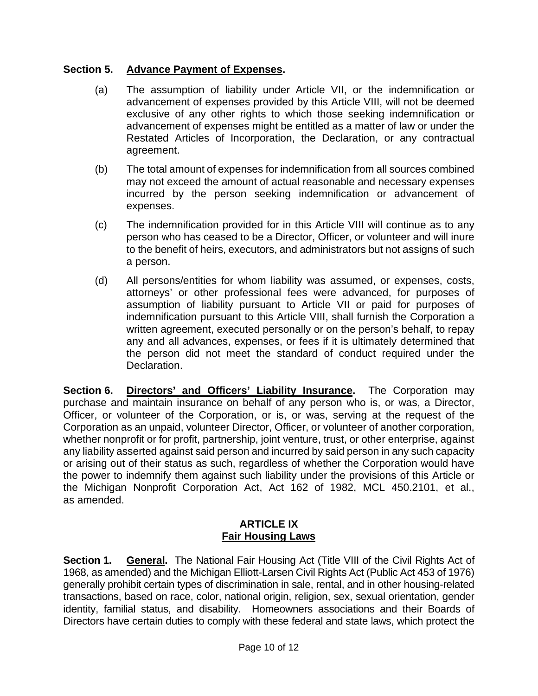# **Section 5. Advance Payment of Expenses.**

- (a) The assumption of liability under Article VII, or the indemnification or advancement of expenses provided by this Article VIII, will not be deemed exclusive of any other rights to which those seeking indemnification or advancement of expenses might be entitled as a matter of law or under the Restated Articles of Incorporation, the Declaration, or any contractual agreement.
- (b) The total amount of expenses for indemnification from all sources combined may not exceed the amount of actual reasonable and necessary expenses incurred by the person seeking indemnification or advancement of expenses.
- (c) The indemnification provided for in this Article VIII will continue as to any person who has ceased to be a Director, Officer, or volunteer and will inure to the benefit of heirs, executors, and administrators but not assigns of such a person.
- (d) All persons/entities for whom liability was assumed, or expenses, costs, attorneys' or other professional fees were advanced, for purposes of assumption of liability pursuant to Article VII or paid for purposes of indemnification pursuant to this Article VIII, shall furnish the Corporation a written agreement, executed personally or on the person's behalf, to repay any and all advances, expenses, or fees if it is ultimately determined that the person did not meet the standard of conduct required under the Declaration.

**Section 6. Directors' and Officers' Liability Insurance.** The Corporation may purchase and maintain insurance on behalf of any person who is, or was, a Director, Officer, or volunteer of the Corporation, or is, or was, serving at the request of the Corporation as an unpaid, volunteer Director, Officer, or volunteer of another corporation, whether nonprofit or for profit, partnership, joint venture, trust, or other enterprise, against any liability asserted against said person and incurred by said person in any such capacity or arising out of their status as such, regardless of whether the Corporation would have the power to indemnify them against such liability under the provisions of this Article or the Michigan Nonprofit Corporation Act, Act 162 of 1982, MCL 450.2101, et al., as amended.

## **ARTICLE IX Fair Housing Laws**

**Section 1. General.** The National Fair Housing Act (Title VIII of the Civil Rights Act of 1968, as amended) and the Michigan Elliott-Larsen Civil Rights Act (Public Act 453 of 1976) generally prohibit certain types of discrimination in sale, rental, and in other housing-related transactions, based on race, color, national origin, religion, sex, sexual orientation, gender identity, familial status, and disability. Homeowners associations and their Boards of Directors have certain duties to comply with these federal and state laws, which protect the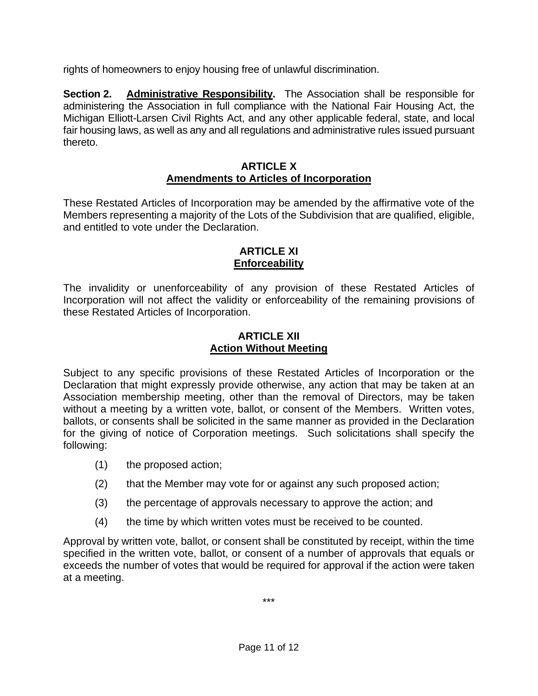rights of homeowners to enjoy housing free of unlawful discrimination.

**Section 2. Administrative Responsibility.** The Association shall be responsible for administering the Association in full compliance with the National Fair Housing Act, the Michigan Elliott-Larsen Civil Rights Act, and any other applicable federal, state, and local fair housing laws, as well as any and all regulations and administrative rules issued pursuant thereto.

## **ARTICLE X Amendments to Articles of Incorporation**

These Restated Articles of Incorporation may be amended by the affirmative vote of the Members representing a majority of the Lots of the Subdivision that are qualified, eligible, and entitled to vote under the Declaration.

# **ARTICLE XI Enforceability**

The invalidity or unenforceability of any provision of these Restated Articles of Incorporation will not affect the validity or enforceability of the remaining provisions of these Restated Articles of Incorporation.

## **ARTICLE XII Action Without Meeting**

Subject to any specific provisions of these Restated Articles of Incorporation or the Declaration that might expressly provide otherwise, any action that may be taken at an Association membership meeting, other than the removal of Directors, may be taken without a meeting by a written vote, ballot, or consent of the Members. Written votes, ballots, or consents shall be solicited in the same manner as provided in the Declaration for the giving of notice of Corporation meetings. Such solicitations shall specify the following:

- (1) the proposed action;
- (2) that the Member may vote for or against any such proposed action;
- (3) the percentage of approvals necessary to approve the action; and
- (4) the time by which written votes must be received to be counted.

Approval by written vote, ballot, or consent shall be constituted by receipt, within the time specified in the written vote, ballot, or consent of a number of approvals that equals or exceeds the number of votes that would be required for approval if the action were taken at a meeting.

\*\*\*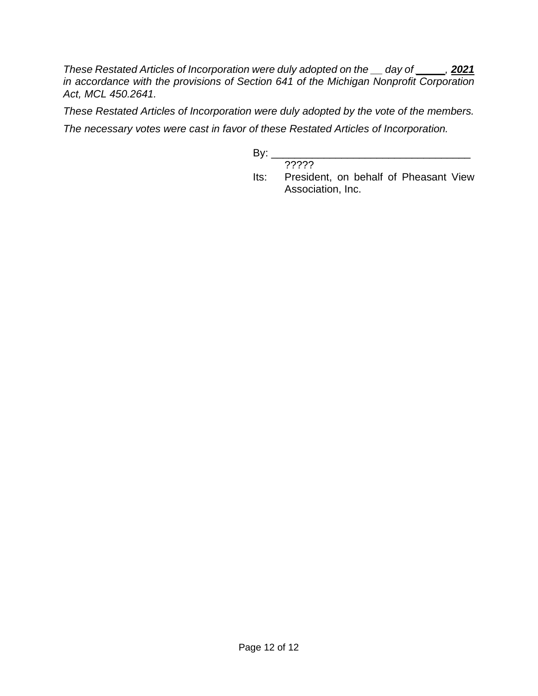*These Restated Articles of Incorporation were duly adopted on the \_\_ day of \_\_\_\_\_, 2021 in accordance with the provisions of Section 641 of the Michigan Nonprofit Corporation Act, MCL 450.2641.* 

*These Restated Articles of Incorporation were duly adopted by the vote of the members.* 

*The necessary votes were cast in favor of these Restated Articles of Incorporation.*

 $By:$ 

????? Its: President, on behalf of Pheasant View Association, Inc.